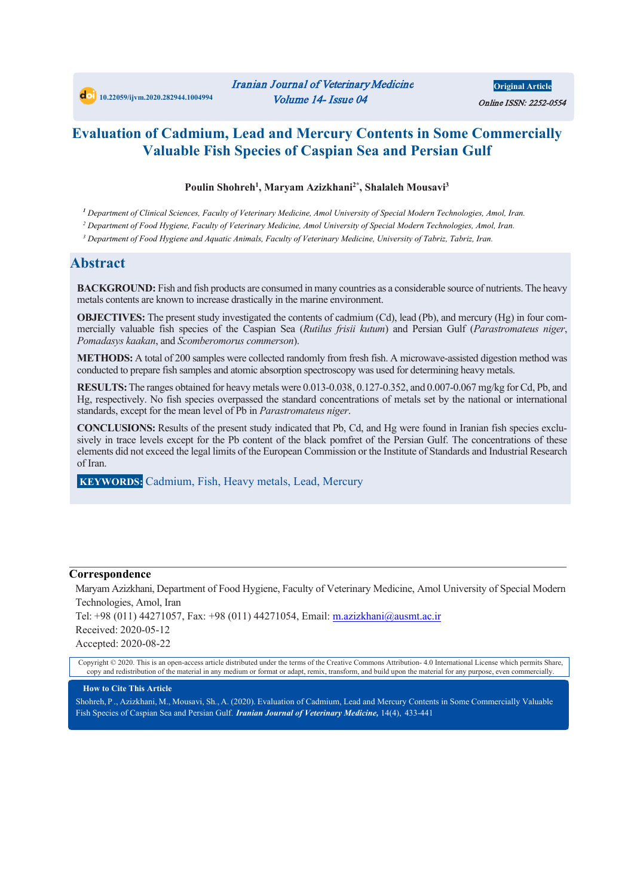## **Evaluation of Cadmium, Lead and Mercury Contents in Some Commercially Valuable Fish Species of Caspian Sea and Persian Gulf**

### **Poulin Shohreh1 , Maryam Azizkhani2\*, Shalaleh Mousavi3**

*<sup>1</sup> Department of Clinical Sciences, Faculty of Veterinary Medicine, Amol University of Special Modern Technologies, Amol, Iran.*

*<sup>2</sup> Department of Food Hygiene, Faculty of Veterinary Medicine, Amol University of Special Modern Technologies, Amol, Iran.*

*<sup>3</sup> Department of Food Hygiene and Aquatic Animals, Faculty of Veterinary Medicine, University of Tabriz, Tabriz, Iran.*

## **Abstract**

**BACKGROUND:** Fish and fish products are consumed in many countries as a considerable source of nutrients. The heavy metals contents are known to increase drastically in the marine environment.

**OBJECTIVES:** The present study investigated the contents of cadmium (Cd), lead (Pb), and mercury (Hg) in four commercially valuable fish species of the Caspian Sea (*Rutilus frisii kutum*) and Persian Gulf (*Parastromateus niger*, *Pomadasys kaakan*, and *Scomberomorus commerson*).

**METHODS:** A total of 200 samples were collected randomly from fresh fish. A microwave-assisted digestion method was conducted to prepare fish samples and atomic absorption spectroscopy was used for determining heavy metals.

**RESULTS:**The ranges obtained for heavy metals were 0.013-0.038, 0.127-0.352, and 0.007-0.067 mg/kg for Cd, Pb, and Hg, respectively. No fish species overpassed the standard concentrations of metals set by the national or international standards, except for the mean level of Pb in *Parastromateus niger*.

**CONCLUSIONS:** Results of the present study indicated that Pb, Cd, and Hg were found in Iranian fish species exclusively in trace levels except for the Pb content of the black pomfret of the Persian Gulf. The concentrations of these elements did not exceed the legal limits of the European Commission or the Institute of Standards and Industrial Research of Iran.

**KEYWORDS:** Cadmium, Fish, Heavy metals, Lead, Mercury

#### **Correspondence**

Maryam Azizkhani, Department of Food Hygiene, Faculty of Veterinary Medicine, Amol University of Special Modern Technologies, Amol, Iran

Tel: +98 (011) 44271057, Fax: +98 (011) 44271054, Email: m.azizkhani@ausmt.ac.ir Received: 2020-05-12 Accepted: 2020-08-22

Copyright © 2020. This is an open-access article distributed under the terms of the Creative Commons Attribution- 4.0 International License which permits Share, copy and redistribution of the material in any medium or format or adapt, remix, transform, and build upon the material for any purpose, even commercially.

#### **How to Cite This Article**

Shohreh, P ., Azizkhani, M., Mousavi, Sh*.*, A. (2020). Evaluation of Cadmium, Lead and Mercury Contents in Some Commercially Valuable Fish Species of Caspian Sea and Persian Gulf. *Iranian Journal of Veterinary Medicine,* 14(4), 433-441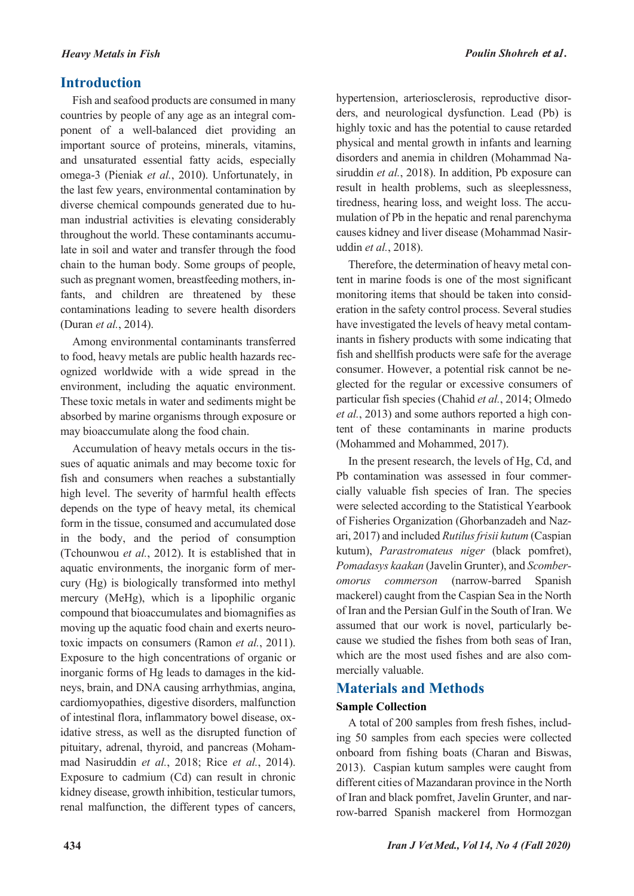## **Introduction**

Fish and seafood products are consumed in many countries by people of any age as an integral component of a well-balanced diet providing an important source of proteins, minerals, vitamins, and unsaturated essential fatty acids, especially omega-3 (Pieniak *et al.*, 2010). Unfortunately, in the last few years, environmental contamination by diverse chemical compounds generated due to human industrial activities is elevating considerably throughout the world. These contaminants accumulate in soil and water and transfer through the food chain to the human body. Some groups of people, such as pregnant women, breastfeeding mothers, infants, and children are threatened by these contaminations leading to severe health disorders (Duran *et al.*, 2014).

Among environmental contaminants transferred to food, heavy metals are public health hazards recognized worldwide with a wide spread in the environment, including the aquatic environment. These toxic metals in water and sediments might be absorbed by marine organisms through exposure or may bioaccumulate along the food chain.

Accumulation of heavy metals occurs in the tissues of aquatic animals and may become toxic for fish and consumers when reaches a substantially high level. The severity of harmful health effects depends on the type of heavy metal, its chemical form in the tissue, consumed and accumulated dose in the body, and the period of consumption (Tchounwou *et al.*, 2012). It is established that in aquatic environments, the inorganic form of mercury (Hg) is biologically transformed into methyl mercury (MeHg), which is a lipophilic organic compound that bioaccumulates and biomagnifies as moving up the aquatic food chain and exerts neurotoxic impacts on consumers (Ramon *et al.*, 2011). Exposure to the high concentrations of organic or inorganic forms of Hg leads to damages in the kidneys, brain, and DNA causing arrhythmias, angina, cardiomyopathies, digestive disorders, malfunction of intestinal flora, inflammatory bowel disease, oxidative stress, as well as the disrupted function of pituitary, adrenal, thyroid, and pancreas (Mohammad Nasiruddin *et al.*, 2018; Rice *et al.*, 2014). Exposure to cadmium (Cd) can result in chronic kidney disease, growth inhibition, testicular tumors, renal malfunction, the different types of cancers,

hypertension, arteriosclerosis, reproductive disorders, and neurological dysfunction. Lead (Pb) is highly toxic and has the potential to cause retarded physical and mental growth in infants and learning disorders and anemia in children (Mohammad Nasiruddin *et al.*, 2018). In addition, Pb exposure can result in health problems, such as sleeplessness, tiredness, hearing loss, and weight loss. The accumulation of Pb in the hepatic and renal parenchyma causes kidney and liver disease (Mohammad Nasiruddin *et al.*, 2018).

Therefore, the determination of heavy metal content in marine foods is one of the most significant monitoring items that should be taken into consideration in the safety control process. Several studies have investigated the levels of heavy metal contaminants in fishery products with some indicating that fish and shellfish products were safe for the average consumer. However, a potential risk cannot be neglected for the regular or excessive consumers of particular fish species (Chahid *et al.*, 2014; Olmedo *et al.*, 2013) and some authors reported a high content of these contaminants in marine products (Mohammed and Mohammed, 2017).

In the present research, the levels of Hg, Cd, and Pb contamination was assessed in four commercially valuable fish species of Iran. The species were selected according to the Statistical Yearbook of Fisheries Organization (Ghorbanzadeh and Nazari, 2017) and included *Rutilus frisii kutum* (Caspian kutum), *Parastromateus niger* (black pomfret), *Pomadasys kaakan* (Javelin Grunter), and *Scomberomorus commerson* (narrow-barred Spanish mackerel) caught from the Caspian Sea in the North of Iran and the Persian Gulf in the South of Iran. We assumed that our work is novel, particularly because we studied the fishes from both seas of Iran, which are the most used fishes and are also commercially valuable.

## **Materials and Methods**

## **Sample Collection**

A total of 200 samples from fresh fishes, including 50 samples from each species were collected onboard from fishing boats (Charan and Biswas, 2013). Caspian kutum samples were caught from different cities of Mazandaran province in the North of Iran and black pomfret, Javelin Grunter, and narrow-barred Spanish mackerel from Hormozgan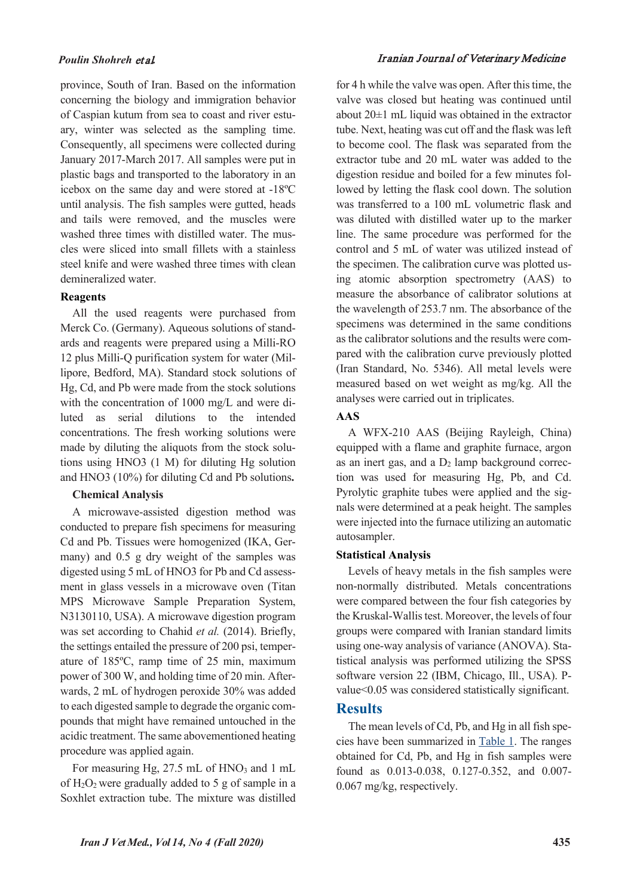province, South of Iran. Based on the information concerning the biology and immigration behavior of Caspian kutum from sea to coast and river estuary, winter was selected as the sampling time. Consequently, all specimens were collected during January 2017-March 2017. All samples were put in plastic bags and transported to the laboratory in an icebox on the same day and were stored at -18ºC until analysis. The fish samples were gutted, heads and tails were removed, and the muscles were washed three times with distilled water. The muscles were sliced into small fillets with a stainless steel knife and were washed three times with clean demineralized water.

#### **Reagents**

All the used reagents were purchased from Merck Co. (Germany). Aqueous solutions of standards and reagents were prepared using a Milli-RO 12 plus Milli-Q purification system for water (Millipore, Bedford, MA). Standard stock solutions of Hg, Cd, and Pb were made from the stock solutions with the concentration of 1000 mg/L and were diluted as serial dilutions to the intended concentrations. The fresh working solutions were made by diluting the aliquots from the stock solutions using HNO3 (1 M) for diluting Hg solution and HNO3 (10%) for diluting Cd and Pb solutions**.**

#### **Chemical Analysis**

A microwave-assisted digestion method was conducted to prepare fish specimens for measuring Cd and Pb. Tissues were homogenized (IKA, Germany) and 0.5 g dry weight of the samples was digested using 5 mL of HNO3 for Pb and Cd assessment in glass vessels in a microwave oven (Titan MPS Microwave Sample Preparation System, N3130110, USA). A microwave digestion program was set according to Chahid *et al.* (2014). Briefly, the settings entailed the pressure of 200 psi, temperature of 185ºC, ramp time of 25 min, maximum power of 300 W, and holding time of 20 min. Afterwards, 2 mL of hydrogen peroxide 30% was added to each digested sample to degrade the organic compounds that might have remained untouched in the acidic treatment. The same abovementioned heating procedure was applied again.

<span id="page-2-0"></span>For measuring Hg,  $27.5$  mL of HNO<sub>3</sub> and 1 mL of  $H_2O_2$  were gradually added to 5 g of sample in a Soxhlet extraction tube. The mixture was distilled

#### *Poulin Shohreh* et al*.* Iranian Journal of Veterinary Medicine

for 4 h while the valve was open. After this time, the valve was closed but heating was continued until about  $20\pm1$  mL liquid was obtained in the extractor tube. Next, heating was cut off and the flask was left to become cool. The flask was separated from the extractor tube and 20 mL water was added to the digestion residue and boiled for a few minutes followed by letting the flask cool down. The solution was transferred to a 100 mL volumetric flask and was diluted with distilled water up to the marker line. The same procedure was performed for the control and 5 mL of water was utilized instead of the specimen. The calibration curve was plotted using atomic absorption spectrometry (AAS) to measure the absorbance of calibrator solutions at the wavelength of 253.7 nm. The absorbance of the specimens was determined in the same conditions as the calibrator solutions and the results were compared with the calibration curve previously plotted (Iran Standard, No. 5346). All metal levels were measured based on wet weight as mg/kg. All the analyses were carried out in triplicates.

#### **AAS**

A WFX-210 AAS (Beijing Rayleigh, China) equipped with a flame and graphite furnace, argon as an inert gas, and a  $D_2$  lamp background correction was used for measuring Hg, Pb, and Cd. Pyrolytic graphite tubes were applied and the signals were determined at a peak height. The samples were injected into the furnace utilizing an automatic autosampler.

#### **Statistical Analysis**

Levels of heavy metals in the fish samples were non-normally distributed. Metals concentrations were compared between the four fish categories by the Kruskal-Wallis test. Moreover, the levels of four groups were compared with Iranian standard limits using one-way analysis of variance (ANOVA). Statistical analysis was performed utilizing the SPSS software version 22 (IBM, Chicago, Ill., USA). Pvalue<0.05 was considered statistically significant.

## **Results**

The mean levels of Cd, Pb, and Hg in all fish species have been summarized in [Table 1.](#page-2-0) The ranges obtained for Cd, Pb, and Hg in fish samples were found as 0.013-0.038, 0.127-0.352, and 0.007- 0.067 mg/kg, respectively.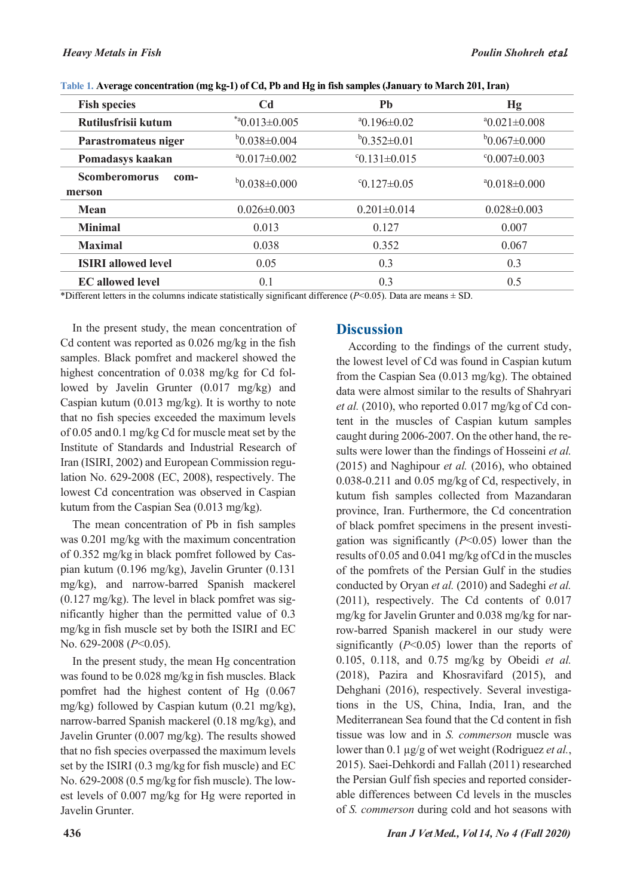| <b>Fish species</b>                    | C <sub>d</sub>               | Pb                          | Hg                        |
|----------------------------------------|------------------------------|-----------------------------|---------------------------|
| Rutilusfrisii kutum                    | $*$ <sup>a</sup> 0.013±0.005 | $^{\circ}$ 0.196 $\pm$ 0.02 | $a_{0.021\pm0.008}$       |
| Parastromateus niger                   | $b_{0.038\pm0.004}$          | $b_{0.352\pm0.01}$          | $b0.067 \pm 0.000$        |
| Pomadasys kaakan                       | $^{\circ}0.017\pm0.002$      | $°C0.131\pm0.015$           | $\degree 0.007 \pm 0.003$ |
| <b>Scomberomorus</b><br>com-<br>merson | $b0.038 \pm 0.000$           | $\degree$ 0.127 $\pm$ 0.05  | $^{\circ}0.018\pm0.000$   |
| <b>Mean</b>                            | $0.026 \pm 0.003$            | $0.201 \pm 0.014$           | $0.028 \pm 0.003$         |
| <b>Minimal</b>                         | 0.013                        | 0.127                       | 0.007                     |
| <b>Maximal</b>                         | 0.038                        | 0.352                       | 0.067                     |
| <b>ISIRI</b> allowed level             | 0.05                         | 0.3                         | 0.3                       |
| <b>EC</b> allowed level                | 0.1                          | 0.3                         | 0.5                       |

**Table 1. Average concentration (mg kg-1) of Cd, Pb and Hg in fish samples (January to March 201, Iran)**

\*Different letters in the columns indicate statistically significant difference ( $P$ <0.05). Data are means  $\pm$  SD.

In the present study, the mean concentration of Cd content was reported as 0.026 mg/kg in the fish samples. Black pomfret and mackerel showed the highest concentration of 0.038 mg/kg for Cd followed by Javelin Grunter (0.017 mg/kg) and Caspian kutum (0.013 mg/kg). It is worthy to note that no fish species exceeded the maximum levels of 0.05 and0.1 mg/kg Cd for muscle meat set by the Institute of Standards and Industrial Research of Iran (ISIRI, 2002) and European Commission regulation No. 629-2008 (EC, 2008), respectively. The lowest Cd concentration was observed in Caspian kutum from the Caspian Sea (0.013 mg/kg).

The mean concentration of Pb in fish samples was 0.201 mg/kg with the maximum concentration of 0.352 mg/kg in black pomfret followed by Caspian kutum (0.196 mg/kg), Javelin Grunter (0.131 mg/kg), and narrow-barred Spanish mackerel (0.127 mg/kg). The level in black pomfret was significantly higher than the permitted value of 0.3 mg/kg in fish muscle set by both the ISIRI and EC No. 629-2008 (*P*<0.05).

In the present study, the mean Hg concentration was found to be 0.028 mg/kg in fish muscles. Black pomfret had the highest content of Hg (0.067 mg/kg) followed by Caspian kutum (0.21 mg/kg), narrow-barred Spanish mackerel (0.18 mg/kg), and Javelin Grunter (0.007 mg/kg). The results showed that no fish species overpassed the maximum levels set by the ISIRI (0.3 mg/kg for fish muscle) and EC No. 629-2008 (0.5 mg/kgfor fish muscle). The lowest levels of 0.007 mg/kg for Hg were reported in Javelin Grunter.

## **Discussion**

According to the findings of the current study, the lowest level of Cd was found in Caspian kutum from the Caspian Sea (0.013 mg/kg). The obtained data were almost similar to the results of Shahryari *et al.* (2010), who reported 0.017 mg/kg of Cd content in the muscles of Caspian kutum samples caught during 2006-2007. On the other hand, the results were lower than the findings of Hosseini *et al.* (2015) and Naghipour *et al.* (2016), who obtained 0.038-0.211 and 0.05 mg/kg of Cd, respectively, in kutum fish samples collected from Mazandaran province, Iran. Furthermore, the Cd concentration of black pomfret specimens in the present investigation was significantly (*P*<0.05) lower than the results of 0.05 and 0.041 mg/kg ofCd in the muscles of the pomfrets of the Persian Gulf in the studies conducted by Oryan *et al.* (2010) and Sadeghi *et al.* (2011), respectively. The Cd contents of 0.017 mg/kg for Javelin Grunter and 0.038 mg/kg for narrow-barred Spanish mackerel in our study were significantly (*P*<0.05) lower than the reports of 0.105, 0.118, and 0.75 mg/kg by Obeidi *et al.* (2018), Pazira and Khosravifard (2015), and Dehghani (2016), respectively. Several investigations in the US, China, India, Iran, and the Mediterranean Sea found that the Cd content in fish tissue was low and in *S. commerson* muscle was lower than 0.1 µg/g of wet weight (Rodriguez *et al.*, 2015). Saei-Dehkordi and Fallah (2011) researched the Persian Gulf fish species and reported considerable differences between Cd levels in the muscles of *S. commerson* during cold and hot seasons with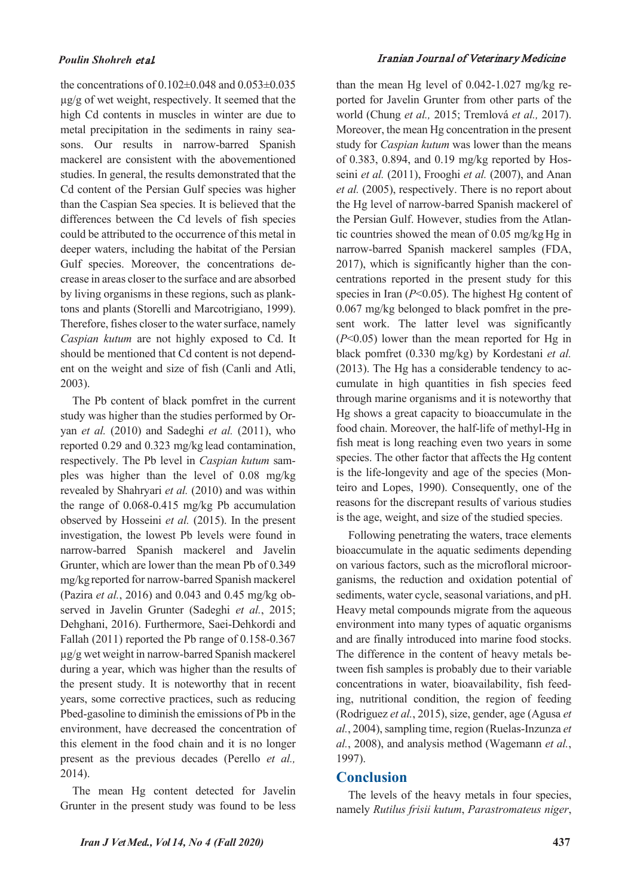the concentrations of  $0.102\pm0.048$  and  $0.053\pm0.035$  $\mu$ g/g of wet weight, respectively. It seemed that the high Cd contents in muscles in winter are due to metal precipitation in the sediments in rainy seasons. Our results in narrow-barred Spanish mackerel are consistent with the abovementioned studies. In general, the results demonstrated that the Cd content of the Persian Gulf species was higher than the Caspian Sea species. It is believed that the differences between the Cd levels of fish species could be attributed to the occurrence of this metal in deeper waters, including the habitat of the Persian Gulf species. Moreover, the concentrations decrease in areas closer to the surface and are absorbed by living organisms in these regions, such as planktons and plants (Storelli and Marcotrigiano, 1999). Therefore, fishes closer to the water surface, namely *Caspian kutum* are not highly exposed to Cd. It should be mentioned that Cd content is not dependent on the weight and size of fish (Canli and Atli, 2003).

The Pb content of black pomfret in the current study was higher than the studies performed by Oryan *et al.* (2010) and Sadeghi *et al.* (2011), who reported 0.29 and 0.323 mg/kg lead contamination, respectively. The Pb level in *Caspian kutum* samples was higher than the level of 0.08 mg/kg revealed by Shahryari *et al.* (2010) and was within the range of 0.068-0.415 mg/kg Pb accumulation observed by Hosseini *et al.* (2015). In the present investigation, the lowest Pb levels were found in narrow-barred Spanish mackerel and Javelin Grunter, which are lower than the mean Pb of 0.349 mg/kgreported for narrow-barred Spanish mackerel (Pazira *et al.*, 2016) and 0.043 and 0.45 mg/kg observed in Javelin Grunter (Sadeghi *et al.*, 2015; Dehghani, 2016). Furthermore, Saei-Dehkordi and Fallah (2011) reported the Pb range of 0.158-0.367 µg/g wet weight in narrow-barred Spanish mackerel during a year, which was higher than the results of the present study. It is noteworthy that in recent years, some corrective practices, such as reducing Pbed-gasoline to diminish the emissions of Pb in the environment, have decreased the concentration of this element in the food chain and it is no longer present as the previous decades (Perello *et al.,* 2014).

The mean Hg content detected for Javelin Grunter in the present study was found to be less

#### *Poulin Shohreh* et al*.* Iranian Journal of Veterinary Medicine

than the mean Hg level of 0.042-1.027 mg/kg reported for Javelin Grunter from other parts of the world (Chung *et al.,* 2015; Tremlová *et al.,* 2017). Moreover, the mean Hg concentration in the present study for *Caspian kutum* was lower than the means of 0.383, 0.894, and 0.19 mg/kg reported by Hosseini *et al.* (2011), Frooghi *et al.* (2007), and Anan *et al.* (2005), respectively. There is no report about the Hg level of narrow-barred Spanish mackerel of the Persian Gulf. However, studies from the Atlantic countries showed the mean of 0.05 mg/kg Hg in narrow-barred Spanish mackerel samples (FDA, 2017), which is significantly higher than the concentrations reported in the present study for this species in Iran  $(P<0.05)$ . The highest Hg content of 0.067 mg/kg belonged to black pomfret in the present work. The latter level was significantly (*P*<0.05) lower than the mean reported for Hg in black pomfret (0.330 mg/kg) by Kordestani *et al.* (2013). The Hg has a considerable tendency to accumulate in high quantities in fish species feed through marine organisms and it is noteworthy that Hg shows a great capacity to bioaccumulate in the food chain. Moreover, the half-life of methyl-Hg in fish meat is long reaching even two years in some species. The other factor that affects the Hg content is the life-longevity and age of the species (Monteiro and Lopes, 1990). Consequently, one of the reasons for the discrepant results of various studies is the age, weight, and size of the studied species.

Following penetrating the waters, trace elements bioaccumulate in the aquatic sediments depending on various factors, such as the microfloral microorganisms, the reduction and oxidation potential of sediments, water cycle, seasonal variations, and pH. Heavy metal compounds migrate from the aqueous environment into many types of aquatic organisms and are finally introduced into marine food stocks. The difference in the content of heavy metals between fish samples is probably due to their variable concentrations in water, bioavailability, fish feeding, nutritional condition, the region of feeding (Rodriguez *et al.*, 2015), size, gender, age (Agusa *et al.*, 2004), sampling time, region (Ruelas-Inzunza *et al.*, 2008), and analysis method (Wagemann *et al.*, 1997).

## **Conclusion**

The levels of the heavy metals in four species, namely *Rutilus frisii kutum*, *Parastromateus niger*,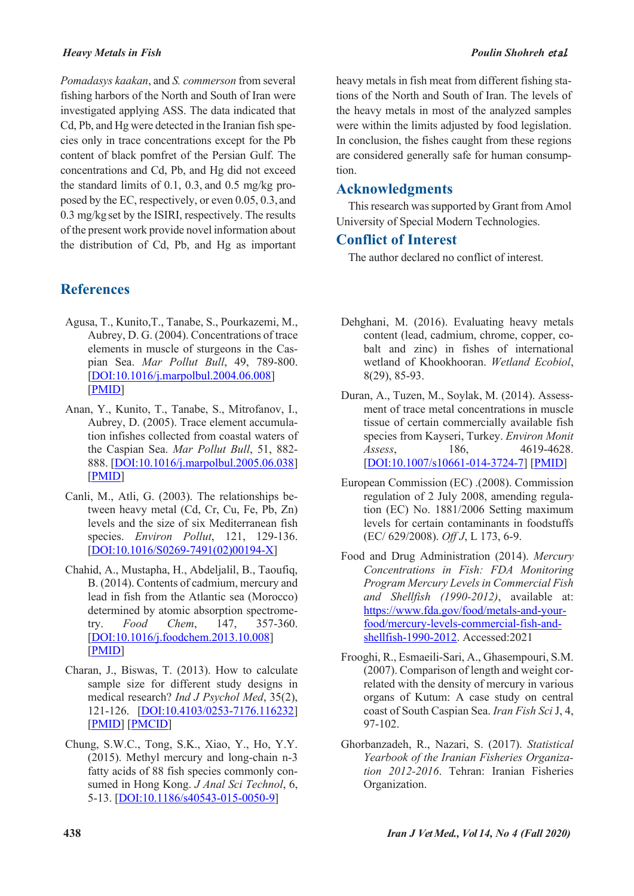#### *Heavy Metals in Fish Poulin Shohreh* et al*.*

*Pomadasys kaakan*, and *S. commerson* from several fishing harbors of the North and South of Iran were investigated applying ASS. The data indicated that Cd, Pb, and Hg were detected in the Iranian fish species only in trace concentrations except for the Pb content of black pomfret of the Persian Gulf. The concentrations and Cd, Pb, and Hg did not exceed the standard limits of 0.1, 0.3, and 0.5 mg/kg proposed by the EC, respectively, or even 0.05, 0.3, and 0.3 mg/kg set by the ISIRI, respectively. The results of the present work provide novel information about the distribution of Cd, Pb, and Hg as important

## **References**

- Agusa, T., Kunito,T., Tanabe, S., Pourkazemi, M., Aubrey, D. G. (2004). Concentrations of trace elements in muscle of sturgeons in the Caspian Sea. *Mar Pollut Bull*, 49, 789-800. [DOI:10.1016/j.marpolbul.2004.06.008] [PMID]
- Anan, Y., Kunito, T., Tanabe, S., Mitrofanov, I., Aubrey, D. (2005). Trace element accumulation infishes collected from coastal waters of the Caspian Sea. *Mar Pollut Bull*, 51, 882- 888. [DOI:10.1016/j.marpolbul.2005.06.038] [PMID]
- Canli, M., Atli, G. (2003). The relationships between heavy metal (Cd, Cr, Cu, Fe, Pb, Zn) levels and the size of six Mediterranean fish species. *Environ Pollut*, 121, 129-136. [DOI:10.1016/S0269-7491(02)00194-X]
- Chahid, A., Mustapha, H., Abdeljalil, B., Taoufiq, B. (2014). Contents of cadmium, mercury and lead in fish from the Atlantic sea (Morocco) determined by atomic absorption spectrometry. *Food Chem*, 147, 357-360. [DOI:10.1016/j.foodchem.2013.10.008] [PMID]
- Charan, J., Biswas, T. (2013). How to calculate sample size for different study designs in medical research? *Ind J Psychol Med*, 35(2), 121-126. [DOI:10.4103/0253-7176.116232] [PMID] [PMCID]
- Chung, S.W.C., Tong, S.K., Xiao, Y., Ho, Y.Y. (2015). Methyl mercury and long-chain n-3 fatty acids of 88 fish species commonly consumed in Hong Kong. *J Anal Sci Technol*, 6, 5-13. [DOI:10.1186/s40543-015-0050-9]

heavy metals in fish meat from different fishing stations of the North and South of Iran. The levels of the heavy metals in most of the analyzed samples were within the limits adjusted by food legislation.

In conclusion, the fishes caught from these regions are considered generally safe for human consumption.

## **Acknowledgments**

This research was supported by Grant from Amol University of Special Modern Technologies.

## **Conflict of Interest**

The author declared no conflict of interest.

- Dehghani, M. (2016). Evaluating heavy metals content (lead, cadmium, chrome, copper, cobalt and zinc) in fishes of international wetland of Khookhooran. *Wetland Ecobiol*, 8(29), 85-93.
- Duran, A., Tuzen, M., Soylak, M. (2014). Assessment of trace metal concentrations in muscle tissue of certain commercially available fish species from Kayseri, Turkey. *Environ Monit Assess*, 186, 4619-4628. [DOI:10.1007/s10661-014-3724-7] [PMID]
- European Commission (EC) .(2008). Commission regulation of 2 July 2008, amending regulation (EC) No. 1881/2006 Setting maximum levels for certain contaminants in foodstuffs (EC/ 629/2008). *Off J*, L 173, 6-9.
- Food and Drug Administration (2014). *Mercury Concentrations in Fish: FDA Monitoring Program Mercury Levels in Commercial Fish and Shellfish (1990-2012)*, available at: https://www.fda.gov/food/metals-and-yourfood/mercury-levels-commercial-fish-andshellfish-1990-2012. Accessed:2021
- Frooghi, R., Esmaeili-Sari, A., Ghasempouri, S.M. (2007). Comparison of length and weight correlated with the density of mercury in various organs of Kutum: A case study on central coast of South Caspian Sea. *Iran Fish Sci* J, 4, 97-102.
- Ghorbanzadeh, R., Nazari, S. (2017). *Statistical Yearbook of the Iranian Fisheries Organization 2012-2016*. Tehran: Iranian Fisheries Organization.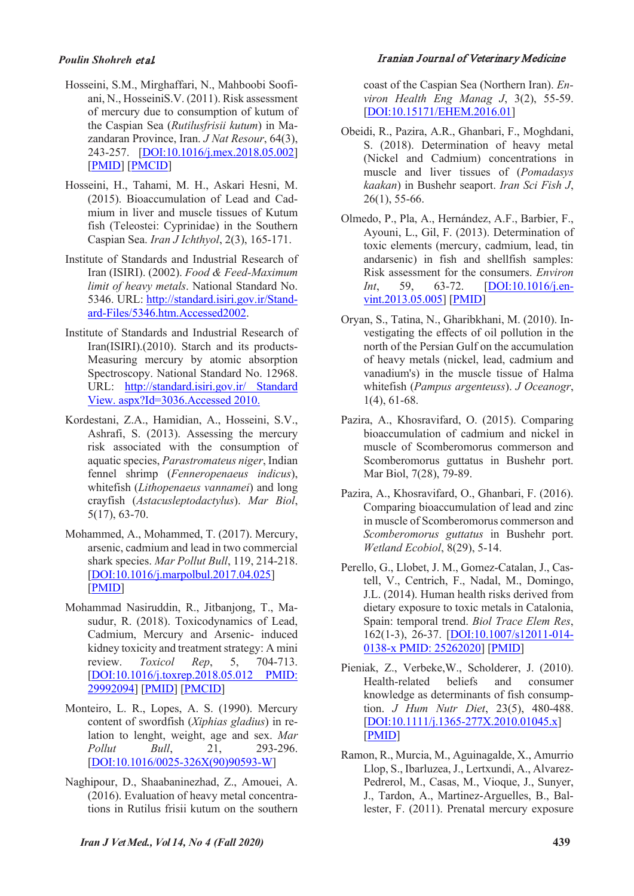### *Poulin Shohreh* et al*.* Iranian Journal of Veterinary Medicine

- Hosseini, S.M., Mirghaffari, N., Mahboobi Soofiani, N., HosseiniS.V. (2011). Risk assessment of mercury due to consumption of kutum of the Caspian Sea (*Rutilusfrisii kutum*) in Mazandaran Province, Iran. *J Nat Resour*, 64(3), 243-257. [DOI:10.1016/j.mex.2018.05.002] [PMID] [PMCID]
- Hosseini, H., Tahami, M. H., Askari Hesni, M. (2015). Bioaccumulation of Lead and Cadmium in liver and muscle tissues of Kutum fish (Teleostei: Cyprinidae) in the Southern Caspian Sea. *Iran J Ichthyol*, 2(3), 165-171.
- Institute of Standards and Industrial Research of Iran (ISIRI). (2002). *Food & Feed-Maximum limit of heavy metals*. National Standard No. 5346. URL: http://standard.isiri.gov.ir/Standard-Files/5346.htm.Accessed2002.
- Institute of Standards and Industrial Research of Iran(ISIRI).(2010). Starch and its products-Measuring mercury by atomic absorption Spectroscopy. National Standard No. 12968. URL: http://standard.isiri.gov.ir/ Standard View. aspx?Id=3036.Accessed 2010.
- Kordestani, Z.A., Hamidian, A., Hosseini, S.V., Ashrafi, S. (2013). Assessing the mercury risk associated with the consumption of aquatic species, *Parastromateus niger*, Indian fennel shrimp (*Fenneropenaeus indicus*), whitefish (*Lithopenaeus vannamei*) and long crayfish (*Astacusleptodactylus*). *Mar Biol*, 5(17), 63-70.
- Mohammed, A., Mohammed, T. (2017). Mercury, arsenic, cadmium and lead in two commercial shark species. *Mar Pollut Bull*, 119, 214-218. [DOI:10.1016/j.marpolbul.2017.04.025] [PMID]
- Mohammad Nasiruddin, R., Jitbanjong, T., Masudur, R. (2018). Toxicodynamics of Lead, Cadmium, Mercury and Arsenic- induced kidney toxicity and treatment strategy: A mini review. *Toxicol Rep*, 5, 704-713. [DOI:10.1016/j.toxrep.2018.05.012 PMID: 29992094] [PMID] [PMCID]
- Monteiro, L. R., Lopes, A. S. (1990). Mercury content of swordfish (*Xiphias gladius*) in relation to lenght, weight, age and sex. *Mar Pollut Bull*, 21, 293-296. [DOI:10.1016/0025-326X(90)90593-W]
- Naghipour, D., Shaabaninezhad, Z., Amouei, A. (2016). Evaluation of heavy metal concentrations in Rutilus frisii kutum on the southern

coast of the Caspian Sea (Northern Iran). *Environ Health Eng Manag J*, 3(2), 55-59. [DOI:10.15171/EHEM.2016.01]

- Obeidi, R., Pazira, A.R., Ghanbari, F., Moghdani, S. (2018). Determination of heavy metal (Nickel and Cadmium) concentrations in muscle and liver tissues of (*Pomadasys kaakan*) in Bushehr seaport. *Iran Sci Fish J*, 26(1), 55-66.
- Olmedo, P., Pla, A., Hernández, A.F., Barbier, F., Ayouni, L., Gil, F. (2013). Determination of toxic elements (mercury, cadmium, lead, tin andarsenic) in fish and shellfish samples: Risk assessment for the consumers. *Environ Int*, 59, 63-72. **[DOI:10.1016/j.en**vint.2013.05.005] [PMID]
- Oryan, S., Tatina, N., Gharibkhani, M. (2010). Investigating the effects of oil pollution in the north of the Persian Gulf on the accumulation of heavy metals (nickel, lead, cadmium and vanadium's) in the muscle tissue of Halma whitefish (*Pampus argenteuss*). *J Oceanogr*, 1(4), 61-68.
- Pazira, A., Khosravifard, O. (2015). Comparing bioaccumulation of cadmium and nickel in muscle of Scomberomorus commerson and Scomberomorus guttatus in Bushehr port. Mar Biol, 7(28), 79-89.
- Pazira, A., Khosravifard, O., Ghanbari, F. (2016). Comparing bioaccumulation of lead and zinc in muscle of Scomberomorus commerson and *Scomberomorus guttatus* in Bushehr port. *Wetland Ecobiol*, 8(29), 5-14.
- Perello, G., Llobet, J. M., Gomez-Catalan, J., Castell, V., Centrich, F., Nadal, M., Domingo, J.L. (2014). Human health risks derived from dietary exposure to toxic metals in Catalonia, Spain: temporal trend. *Biol Trace Elem Res*, 162(1-3), 26-37. [DOI:10.1007/s12011-014- 0138-x PMID: 25262020] [PMID]
- Pieniak, Z., Verbeke,W., Scholderer, J. (2010). Health-related beliefs and consumer knowledge as determinants of fish consumption. *J Hum Nutr Diet*, 23(5), 480-488. [DOI:10.1111/j.1365-277X.2010.01045.x] [PMID]
- Ramon, R., Murcia, M., Aguinagalde, X., Amurrio Llop, S., Ibarluzea, J., Lertxundi, A., Alvarez-Pedrerol, M., Casas, M., Vioque, J., Sunyer, J., Tardon, A., Martinez-Arguelles, B., Ballester, F. (2011). Prenatal mercury exposure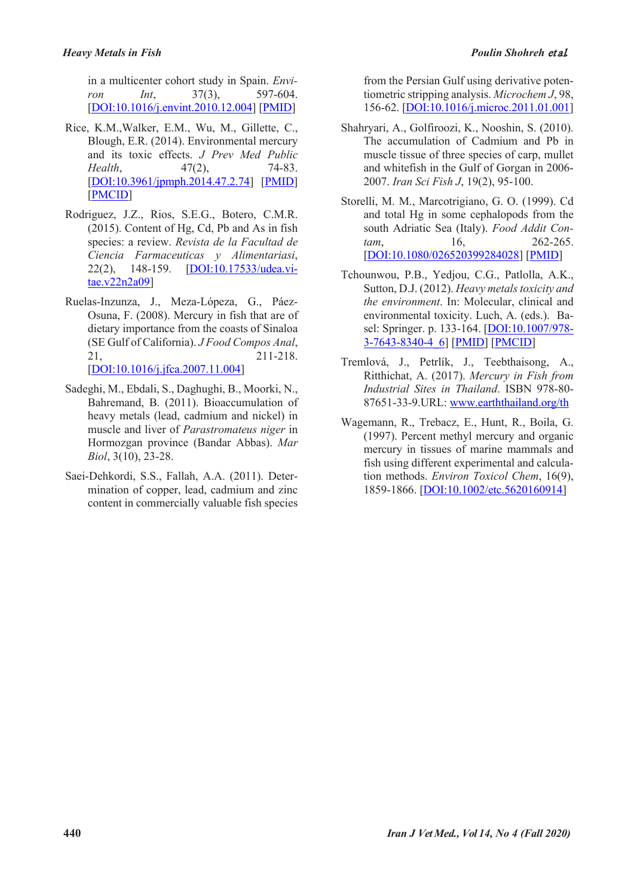in a multicenter cohort study in Spain. *Environ Int*, 37(3), 597-604. [DOI:10.1016/j.envint.2010.12.004] [PMID]

- Rice, K.M.,Walker, E.M., Wu, M., Gillette, C., Blough, E.R. (2014). Environmental mercury and its toxic effects. *J Prev Med Public Health*, 47(2), 74-83. [DOI:10.3961/jpmph.2014.47.2.74] [PMID] [PMCID]
- Rodriguez, J.Z., Rios, S.E.G., Botero, C.M.R. (2015). Content of Hg, Cd, Pb and As in fish species: a review. *Revista de la Facultad de Ciencia Farmaceuticas y Alimentariasi*, 22(2), 148-159. [DOI:10.17533/udea.vitae.v22n2a09]
- Ruelas-Inzunza, J., Meza-Lópeza, G., Páez-Osuna, F. (2008). Mercury in fish that are of dietary importance from the coasts of Sinaloa (SE Gulf of California). *J Food Compos Anal*, 21, 211-218. [DOI:10.1016/j.jfca.2007.11.004]
- Sadeghi, M., Ebdali, S., Daghughi, B., Moorki, N., Bahremand, B. (2011). Bioaccumulation of heavy metals (lead, cadmium and nickel) in muscle and liver of *Parastromateus niger* in Hormozgan province (Bandar Abbas). *Mar Biol*, 3(10), 23-28.
- Saei-Dehkordi, S.S., Fallah, A.A. (2011). Determination of copper, lead, cadmium and zinc content in commercially valuable fish species

from the Persian Gulf using derivative potentiometric stripping analysis. *Microchem J*, 98, 156-62. [DOI:10.1016/j.microc.2011.01.001]

- Shahryari, A., Golfiroozi, K., Nooshin, S. (2010). The accumulation of Cadmium and Pb in muscle tissue of three species of carp, mullet and whitefish in the Gulf of Gorgan in 2006- 2007. *Iran Sci Fish J*, 19(2), 95-100.
- Storelli, M. M., Marcotrigiano, G. O. (1999). Cd and total Hg in some cephalopods from the south Adriatic Sea (Italy). *Food Addit Contam*, 16, 262-265. [DOI:10.1080/026520399284028] [PMID]
- Tchounwou, P.B., Yedjou, C.G., Patlolla, A.K., Sutton, D.J. (2012). *Heavy metals toxicity and the environment*. In: Molecular, clinical and environmental toxicity. Luch, A. (eds.). Basel: Springer. p. 133-164. [DOI:10.1007/978- 3-7643-8340-4\_6] [PMID] [PMCID]
- Tremlová, J., Petrlík, J., Teebthaisong, A., Ritthichat, A. (2017). *Mercury in Fish from Industrial Sites in Thailand*. ISBN 978-80- 87651-33-9.URL: www.earththailand.org/th
- Wagemann, R., Trebacz, E., Hunt, R., Boila, G. (1997). Percent methyl mercury and organic mercury in tissues of marine mammals and fish using different experimental and calculation methods. *Environ Toxicol Chem*, 16(9), 1859-1866. [DOI:10.1002/etc.5620160914]